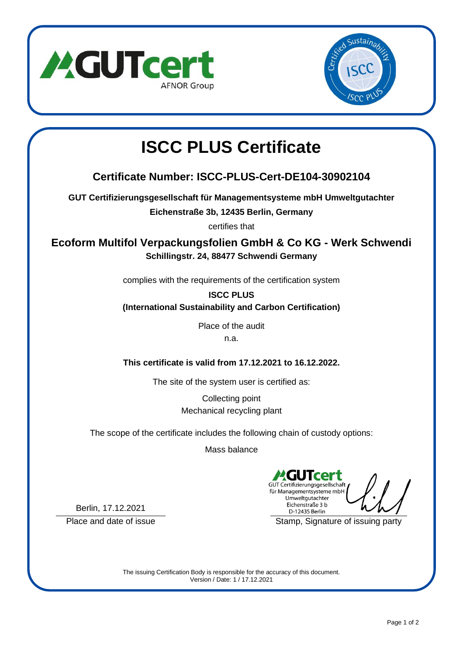



# **ISCC PLUS Certificate**

## **Certificate Number: ISCC-PLUS-Cert-DE104-30902104**

**GUT Certifizierungsgesellschaft für Managementsysteme mbH Umweltgutachter**

**Eichenstraße 3b, 12435 Berlin, Germany**

certifies that

**Ecoform Multifol Verpackungsfolien GmbH & Co KG - Werk Schwendi Schillingstr. 24, 88477 Schwendi Germany**

complies with the requirements of the certification system

**ISCC PLUS**

**(International Sustainability and Carbon Certification)**

Place of the audit n.a.

**This certificate is valid from 17.12.2021 to 16.12.2022.**

The site of the system user is certified as:

Collecting point Mechanical recycling plant

The scope of the certificate includes the following chain of custody options:

Mass balance

GUT Certifizierungsgesellschaft für Managementsysteme mbH Umweltgutachter Eichenstraße 3 b D-12435 Berlin

Berlin, 17.12.2021

Place and date of issue Stamp, Signature of issuing party

The issuing Certification Body is responsible for the accuracy of this document. Version / Date: 1 / 17.12.2021